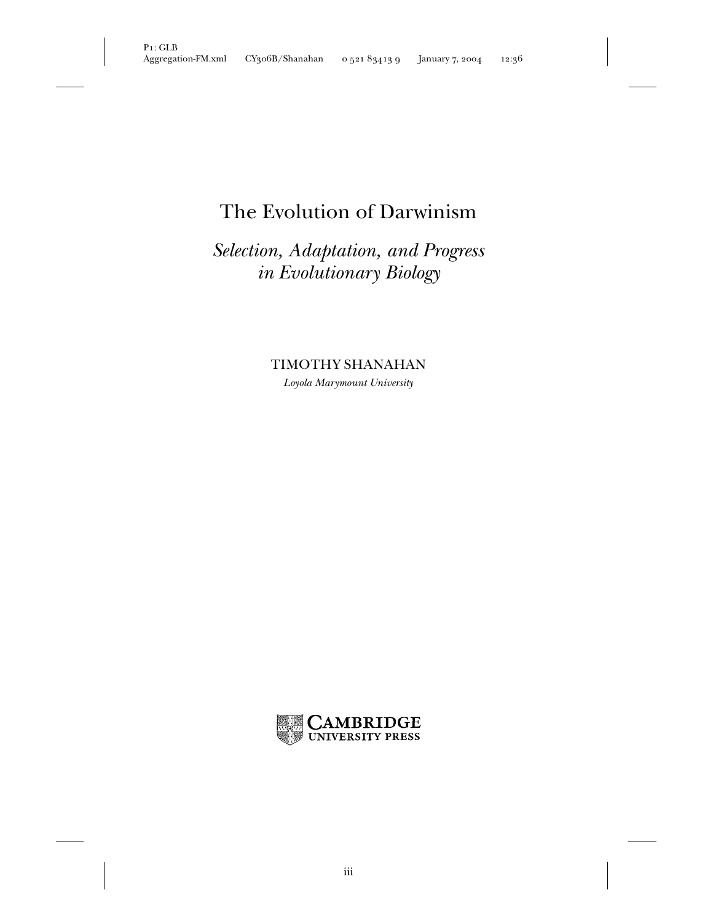# The Evolution of Darwinism

*Selection, Adaptation, and Progress in Evolutionary Biology*

TIMOTHY SHANAHAN

*Loyola Marymount University*

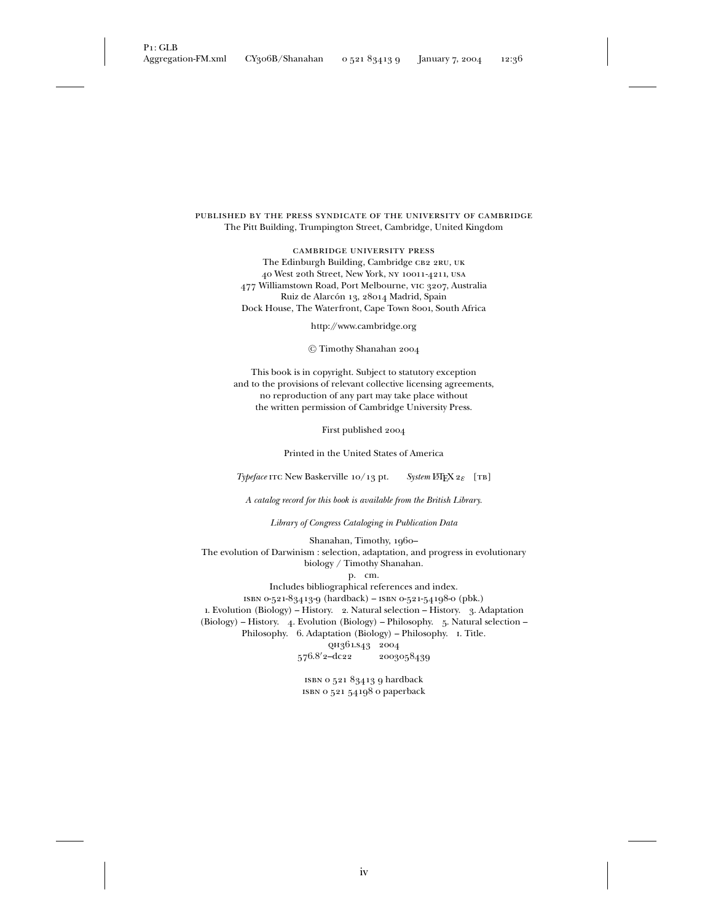### published by the press syndicate of the university of cambridge The Pitt Building, Trumpington Street, Cambridge, United Kingdom

cambridge university press The Edinburgh Building, Cambridge CB2 2RU, UK 40 West 20th Street, New York, ny 10011-4211, usa 477 Williamstown Road, Port Melbourne, vic 3207, Australia Ruiz de Alarcón 13, 28014 Madrid, Spain Dock House, The Waterfront, Cape Town 8001, South Africa

http://www.cambridge.org

-<sup>C</sup> Timothy Shanahan 2004

This book is in copyright. Subject to statutory exception and to the provisions of relevant collective licensing agreements, no reproduction of any part may take place without the written permission of Cambridge University Press.

First published 2004

Printed in the United States of America

*Typeface* ITC New Baskerville 10/13 pt. *System* LATEX 2<sub>ε</sub> [TB]

*A catalog record for this book is available from the British Library.*

*Library of Congress Cataloging in Publication Data*

Shanahan, Timothy, 1960–

The evolution of Darwinism : selection, adaptation, and progress in evolutionary biology / Timothy Shanahan.

p. cm.

Includes bibliographical references and index.

isbn 0-521-83413-9 (hardback) – isbn 0-521-54198-0 (pbk.)

1. Evolution (Biology) – History. 2. Natural selection – History. 3. Adaptation

(Biology) – History. 4. Evolution (Biology) – Philosophy. 5. Natural selection –

Philosophy. 6. Adaptation (Biology) – Philosophy. i. Title.

qh361.s43 2004

 $576.8'2 - dc22$ 2003058439

isbn 0 521 83413 9 hardback isbn 0 521 54198 0 paperback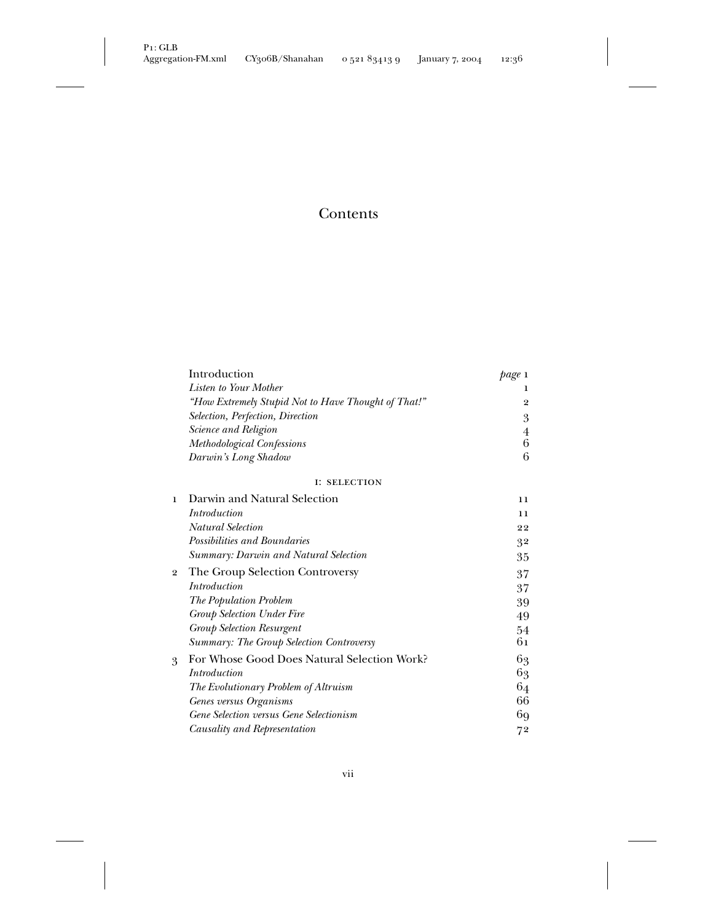## Contents

|              | Introduction                                        | page 1         |
|--------------|-----------------------------------------------------|----------------|
|              | Listen to Your Mother                               | 1              |
|              | "How Extremely Stupid Not to Have Thought of That!" | 2              |
|              | Selection, Perfection, Direction                    | 3              |
|              | Science and Religion                                | $\overline{4}$ |
|              | Methodological Confessions                          | 6              |
|              | Darwin's Long Shadow                                | 6              |
|              | I: SELECTION                                        |                |
| $\mathbf{1}$ | Darwin and Natural Selection                        | 11             |
|              | Introduction                                        | 11             |
|              | <b>Natural Selection</b>                            | 22             |
|              | Possibilities and Boundaries                        | 32             |
|              | Summary: Darwin and Natural Selection               | 35             |
| 2            | The Group Selection Controversy                     | 37             |
|              | <i>Introduction</i>                                 | 37             |
|              | The Population Problem                              | 39             |
|              | Group Selection Under Fire                          | 49             |
|              | Group Selection Resurgent                           | 54             |
|              | Summary: The Group Selection Controversy            | 61             |
| 3            | For Whose Good Does Natural Selection Work?         | 63             |
|              | Introduction                                        | 63             |
|              | The Evolutionary Problem of Altruism                | 64             |
|              | Genes versus Organisms                              | 66             |
|              | Gene Selection versus Gene Selectionism             | 69             |
|              | Causality and Representation                        | $7^{\circ}$    |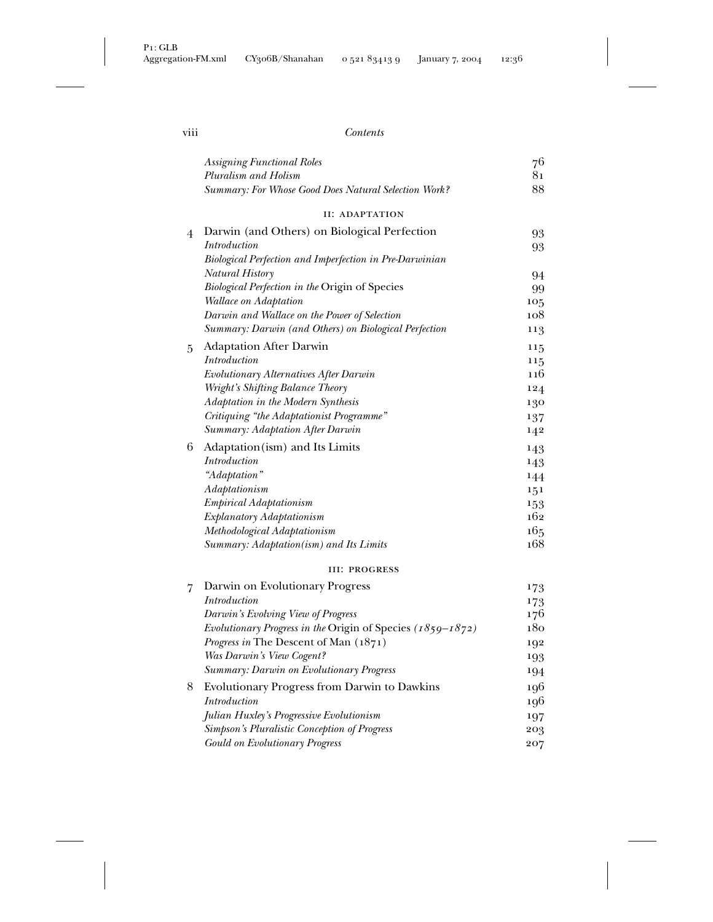|                | <b>Assigning Functional Roles</b>                              | 76              |
|----------------|----------------------------------------------------------------|-----------------|
|                | Pluralism and Holism                                           | 81              |
|                | Summary: For Whose Good Does Natural Selection Work?           | 88              |
|                | <b>II: ADAPTATION</b>                                          |                 |
| $\overline{4}$ | Darwin (and Others) on Biological Perfection                   | 93              |
|                | Introduction                                                   | 93              |
|                | Biological Perfection and Imperfection in Pre-Darwinian        |                 |
|                | Natural History                                                | 94              |
|                | <b>Biological Perfection in the Origin of Species</b>          | 99              |
|                | Wallace on Adaptation                                          | 10 <sub>5</sub> |
|                | Darwin and Wallace on the Power of Selection                   | 108             |
|                | Summary: Darwin (and Others) on Biological Perfection          | 113             |
| 5              | <b>Adaptation After Darwin</b>                                 | 115             |
|                | Introduction                                                   | 115             |
|                | Evolutionary Alternatives After Darwin                         | 116             |
|                | Wright's Shifting Balance Theory                               | 124             |
|                | Adaptation in the Modern Synthesis                             | 130             |
|                | Critiquing "the Adaptationist Programme"                       | 137             |
|                | Summary: Adaptation After Darwin                               | 142             |
| 6              | Adaptation (ism) and Its Limits                                | 143             |
|                | <i>Introduction</i>                                            | 143             |
|                | "Adaptation"                                                   | 144             |
|                | Adaptationism                                                  | 151             |
|                | Empirical Adaptationism                                        | 153             |
|                | Explanatory Adaptationism                                      | 162             |
|                | Methodological Adaptationism                                   | 165             |
|                | Summary: Adaptation(ism) and Its Limits                        | 168             |
|                | <b>III: PROGRESS</b>                                           |                 |
| 7              | Darwin on Evolutionary Progress                                | 173             |
|                | Introduction                                                   | 173             |
|                | Darwin's Evolving View of Progress                             | 176             |
|                | Evolutionary Progress in the Origin of Species ( $1859-1872$ ) | 180             |
|                | <i>Progress in</i> The Descent of Man (1871)                   | 192             |
|                | Was Darwin's View Cogent?                                      | 193             |
|                | Summary: Darwin on Evolutionary Progress                       | 194             |
| 8              | Evolutionary Progress from Darwin to Dawkins                   | 196             |
|                | $\label{thm:interduction} Introduction$                        | 196             |
|                | Julian Huxley's Progressive Evolutionism                       | 197             |
|                | Simpson's Pluralistic Conception of Progress                   | 203             |
|                | <b>Gould on Evolutionary Progress</b>                          | 207             |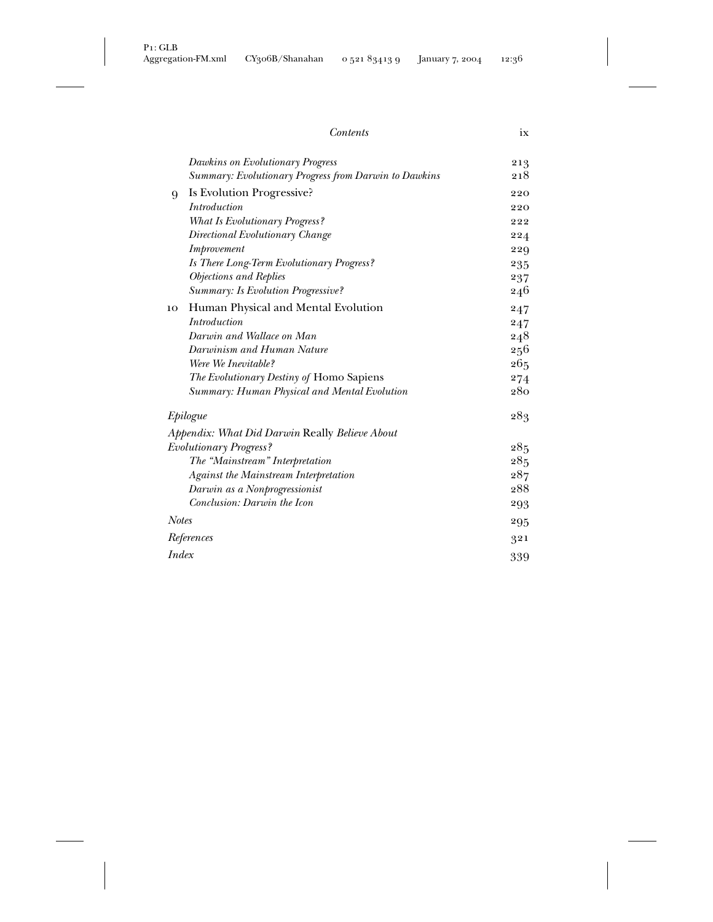|                               | Dawkins on Evolutionary Progress                      | 213 |
|-------------------------------|-------------------------------------------------------|-----|
|                               | Summary: Evolutionary Progress from Darwin to Dawkins | 218 |
| 9                             | Is Evolution Progressive?                             | 220 |
|                               | Introduction                                          | 220 |
|                               | <b>What Is Evolutionary Progress?</b>                 | 222 |
|                               | Directional Evolutionary Change                       | 224 |
|                               | Improvement                                           | 229 |
|                               | Is There Long-Term Evolutionary Progress?             | 235 |
|                               | <i><b>Objections and Replies</b></i>                  | 237 |
|                               | Summary: Is Evolution Progressive?                    | 246 |
| 10                            | Human Physical and Mental Evolution                   | 247 |
|                               | Introduction                                          | 247 |
|                               | Darwin and Wallace on Man                             | 248 |
|                               | Darwinism and Human Nature                            | 256 |
|                               | Were We Inevitable?                                   | 265 |
|                               | The Evolutionary Destiny of Homo Sapiens              | 274 |
|                               | Summary: Human Physical and Mental Evolution          | 280 |
| Epilogue                      |                                                       | 283 |
|                               | Appendix: What Did Darwin Really Believe About        |     |
| <b>Evolutionary Progress?</b> |                                                       | 285 |
|                               | The "Mainstream" Interpretation                       | 285 |
|                               | Against the Mainstream Interpretation                 | 287 |
|                               | Darwin as a Nonprogressionist                         | 288 |
|                               | Conclusion: Darwin the Icon                           | 293 |
| <b>Notes</b>                  |                                                       | 295 |
| References                    |                                                       | 321 |
| <i>Index</i>                  |                                                       | 339 |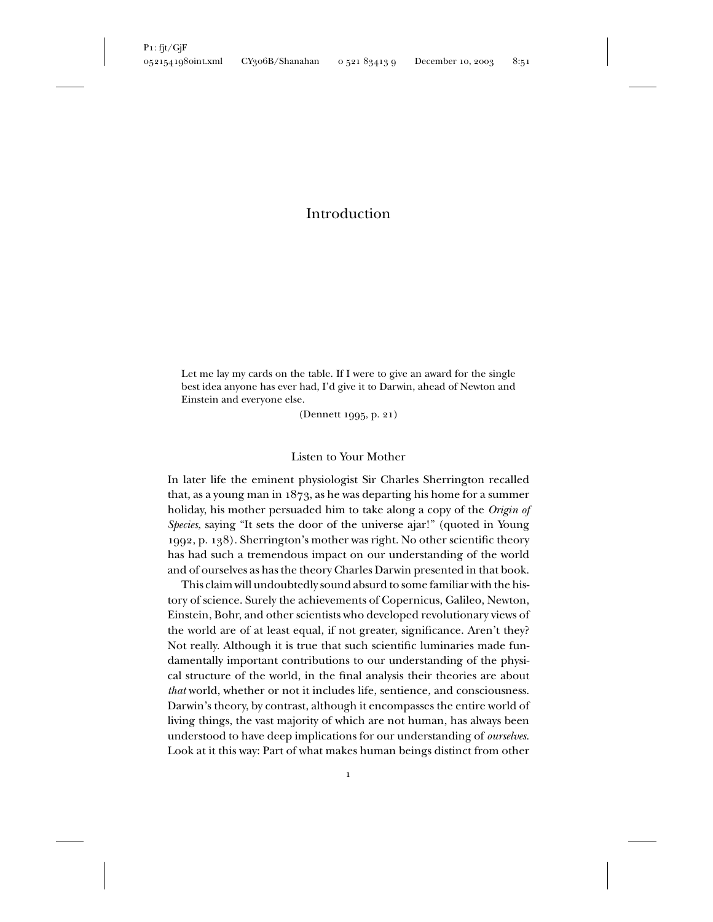### Introduction

Let me lay my cards on the table. If I were to give an award for the single best idea anyone has ever had, I'd give it to Darwin, ahead of Newton and Einstein and everyone else.

(Dennett 1995, p. 21)

### Listen to Your Mother

In later life the eminent physiologist Sir Charles Sherrington recalled that, as a young man in 1873, as he was departing his home for a summer holiday, his mother persuaded him to take along a copy of the *Origin of Species*, saying "It sets the door of the universe ajar!" (quoted in Young 1992, p. 138). Sherrington's mother was right. No other scientific theory has had such a tremendous impact on our understanding of the world and of ourselves as has the theory Charles Darwin presented in that book.

This claim will undoubtedly sound absurd to some familiar with the history of science. Surely the achievements of Copernicus, Galileo, Newton, Einstein, Bohr, and other scientists who developed revolutionary views of the world are of at least equal, if not greater, significance. Aren't they? Not really. Although it is true that such scientific luminaries made fundamentally important contributions to our understanding of the physical structure of the world, in the final analysis their theories are about *that* world, whether or not it includes life, sentience, and consciousness. Darwin's theory, by contrast, although it encompasses the entire world of living things, the vast majority of which are not human, has always been understood to have deep implications for our understanding of *ourselves*. Look at it this way: Part of what makes human beings distinct from other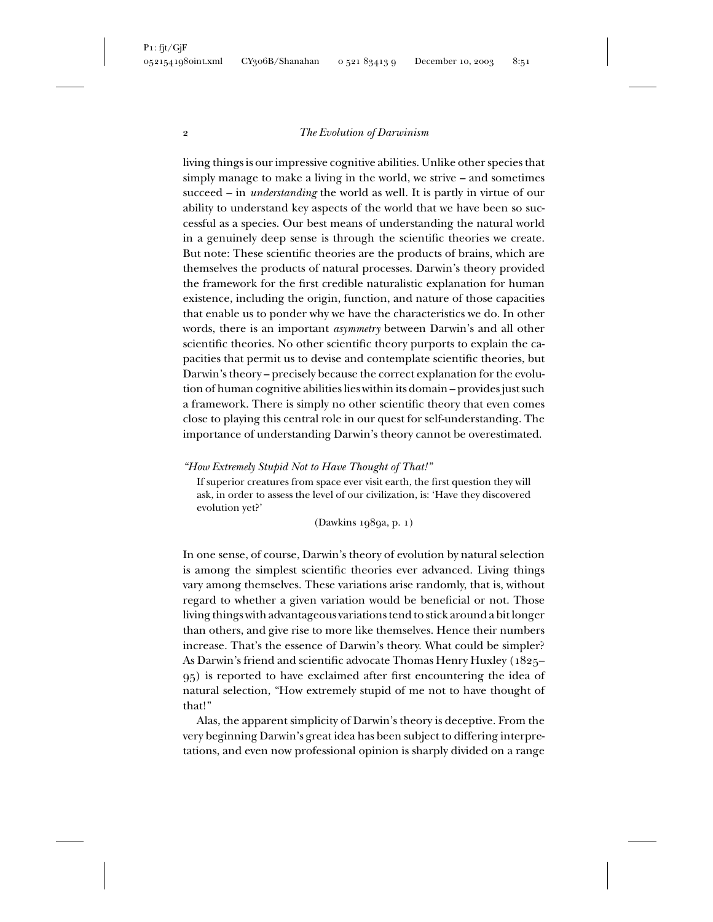living things is our impressive cognitive abilities. Unlike other species that simply manage to make a living in the world, we strive – and sometimes succeed – in *understanding* the world as well. It is partly in virtue of our ability to understand key aspects of the world that we have been so successful as a species. Our best means of understanding the natural world in a genuinely deep sense is through the scientific theories we create. But note: These scientific theories are the products of brains, which are themselves the products of natural processes. Darwin's theory provided the framework for the first credible naturalistic explanation for human existence, including the origin, function, and nature of those capacities that enable us to ponder why we have the characteristics we do. In other words, there is an important *asymmetry* between Darwin's and all other scientific theories. No other scientific theory purports to explain the capacities that permit us to devise and contemplate scientific theories, but Darwin's theory – precisely because the correct explanation for the evolution of human cognitive abilities lies within its domain – provides just such a framework. There is simply no other scientific theory that even comes close to playing this central role in our quest for self-understanding. The importance of understanding Darwin's theory cannot be overestimated.

*"How Extremely Stupid Not to Have Thought of That!"*

If superior creatures from space ever visit earth, the first question they will ask, in order to assess the level of our civilization, is: 'Have they discovered evolution yet?'

(Dawkins 1989a, p. 1)

In one sense, of course, Darwin's theory of evolution by natural selection is among the simplest scientific theories ever advanced. Living things vary among themselves. These variations arise randomly, that is, without regard to whether a given variation would be beneficial or not. Those living things with advantageous variations tend to stick around a bit longer than others, and give rise to more like themselves. Hence their numbers increase. That's the essence of Darwin's theory. What could be simpler? As Darwin's friend and scientific advocate Thomas Henry Huxley (1825– 95) is reported to have exclaimed after first encountering the idea of natural selection, "How extremely stupid of me not to have thought of that!"

Alas, the apparent simplicity of Darwin's theory is deceptive. From the very beginning Darwin's great idea has been subject to differing interpretations, and even now professional opinion is sharply divided on a range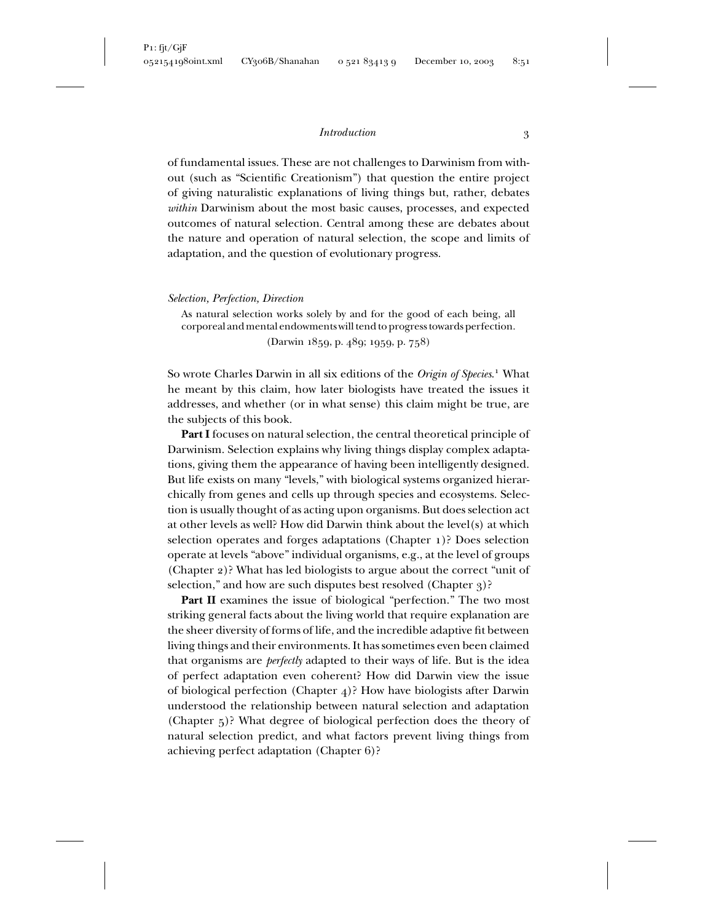of fundamental issues. These are not challenges to Darwinism from without (such as "Scientific Creationism") that question the entire project of giving naturalistic explanations of living things but, rather, debates *within* Darwinism about the most basic causes, processes, and expected outcomes of natural selection. Central among these are debates about the nature and operation of natural selection, the scope and limits of adaptation, and the question of evolutionary progress.

#### *Selection, Perfection, Direction*

As natural selection works solely by and for the good of each being, all corporeal and mental endowments will tend to progress towards perfection.

(Darwin 1859, p. 489; 1959, p. 758)

So wrote Charles Darwin in all six editions of the *Origin of Species*. <sup>1</sup> What he meant by this claim, how later biologists have treated the issues it addresses, and whether (or in what sense) this claim might be true, are the subjects of this book.

**Part I** focuses on natural selection, the central theoretical principle of Darwinism. Selection explains why living things display complex adaptations, giving them the appearance of having been intelligently designed. But life exists on many "levels," with biological systems organized hierarchically from genes and cells up through species and ecosystems. Selection is usually thought of as acting upon organisms. But does selection act at other levels as well? How did Darwin think about the level(s) at which selection operates and forges adaptations (Chapter 1)? Does selection operate at levels "above" individual organisms, e.g., at the level of groups (Chapter 2)? What has led biologists to argue about the correct "unit of selection," and how are such disputes best resolved (Chapter 3)?

Part II examines the issue of biological "perfection." The two most striking general facts about the living world that require explanation are the sheer diversity of forms of life, and the incredible adaptive fit between living things and their environments. It has sometimes even been claimed that organisms are *perfectly* adapted to their ways of life. But is the idea of perfect adaptation even coherent? How did Darwin view the issue of biological perfection (Chapter 4)? How have biologists after Darwin understood the relationship between natural selection and adaptation (Chapter 5)? What degree of biological perfection does the theory of natural selection predict, and what factors prevent living things from achieving perfect adaptation (Chapter 6)?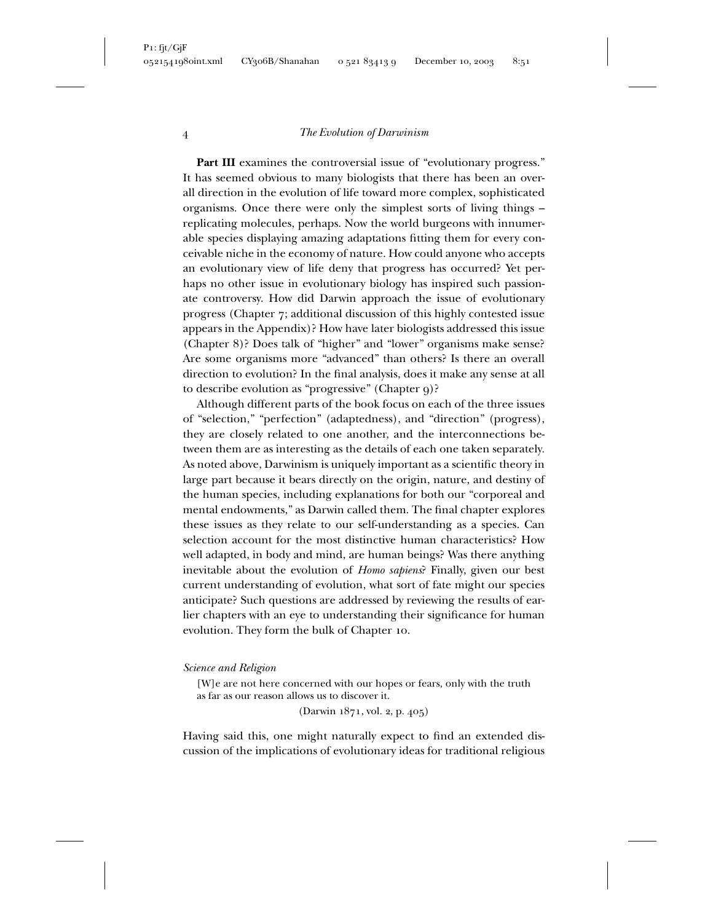Part III examines the controversial issue of "evolutionary progress." It has seemed obvious to many biologists that there has been an overall direction in the evolution of life toward more complex, sophisticated organisms. Once there were only the simplest sorts of living things – replicating molecules, perhaps. Now the world burgeons with innumerable species displaying amazing adaptations fitting them for every conceivable niche in the economy of nature. How could anyone who accepts an evolutionary view of life deny that progress has occurred? Yet perhaps no other issue in evolutionary biology has inspired such passionate controversy. How did Darwin approach the issue of evolutionary progress (Chapter 7; additional discussion of this highly contested issue appears in the Appendix)? How have later biologists addressed this issue (Chapter 8)? Does talk of "higher" and "lower" organisms make sense? Are some organisms more "advanced" than others? Is there an overall direction to evolution? In the final analysis, does it make any sense at all to describe evolution as "progressive" (Chapter 9)?

Although different parts of the book focus on each of the three issues of "selection," "perfection" (adaptedness), and "direction" (progress), they are closely related to one another, and the interconnections between them are as interesting as the details of each one taken separately. As noted above, Darwinism is uniquely important as a scientific theory in large part because it bears directly on the origin, nature, and destiny of the human species, including explanations for both our "corporeal and mental endowments," as Darwin called them. The final chapter explores these issues as they relate to our self-understanding as a species. Can selection account for the most distinctive human characteristics? How well adapted, in body and mind, are human beings? Was there anything inevitable about the evolution of *Homo sapiens*? Finally, given our best current understanding of evolution, what sort of fate might our species anticipate? Such questions are addressed by reviewing the results of earlier chapters with an eye to understanding their significance for human evolution. They form the bulk of Chapter 10.

*Science and Religion*

[W]e are not here concerned with our hopes or fears, only with the truth as far as our reason allows us to discover it.

(Darwin 1871, vol. 2, p. 405)

Having said this, one might naturally expect to find an extended discussion of the implications of evolutionary ideas for traditional religious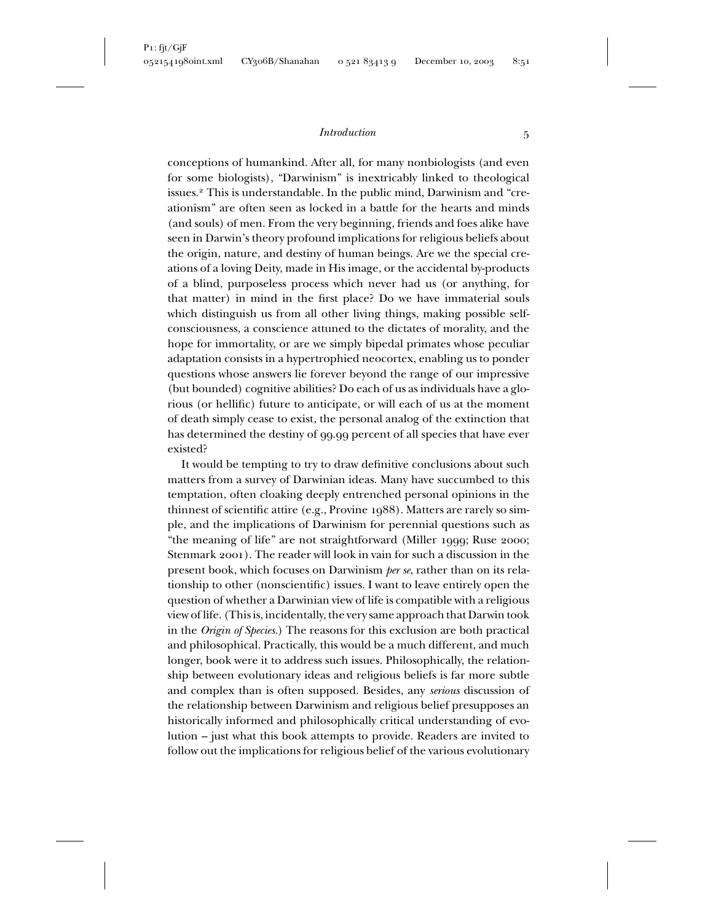conceptions of humankind. After all, for many nonbiologists (and even for some biologists), "Darwinism" is inextricably linked to theological issues.<sup>2</sup> This is understandable. In the public mind, Darwinism and "creationism" are often seen as locked in a battle for the hearts and minds (and souls) of men. From the very beginning, friends and foes alike have seen in Darwin's theory profound implications for religious beliefs about the origin, nature, and destiny of human beings. Are we the special creations of a loving Deity, made in His image, or the accidental by-products of a blind, purposeless process which never had us (or anything, for that matter) in mind in the first place? Do we have immaterial souls which distinguish us from all other living things, making possible selfconsciousness, a conscience attuned to the dictates of morality, and the hope for immortality, or are we simply bipedal primates whose peculiar adaptation consists in a hypertrophied neocortex, enabling us to ponder questions whose answers lie forever beyond the range of our impressive (but bounded) cognitive abilities? Do each of us as individuals have a glorious (or hellific) future to anticipate, or will each of us at the moment of death simply cease to exist, the personal analog of the extinction that has determined the destiny of 99.99 percent of all species that have ever existed?

It would be tempting to try to draw definitive conclusions about such matters from a survey of Darwinian ideas. Many have succumbed to this temptation, often cloaking deeply entrenched personal opinions in the thinnest of scientific attire (e.g., Provine 1988). Matters are rarely so simple, and the implications of Darwinism for perennial questions such as "the meaning of life" are not straightforward (Miller 1999; Ruse 2000; Stenmark 2001). The reader will look in vain for such a discussion in the present book, which focuses on Darwinism *per se*, rather than on its relationship to other (nonscientific) issues. I want to leave entirely open the question of whether a Darwinian view of life is compatible with a religious view of life. (This is, incidentally, the very same approach that Darwin took in the *Origin of Species*.) The reasons for this exclusion are both practical and philosophical. Practically, this would be a much different, and much longer, book were it to address such issues. Philosophically, the relationship between evolutionary ideas and religious beliefs is far more subtle and complex than is often supposed. Besides, any *serious* discussion of the relationship between Darwinism and religious belief presupposes an historically informed and philosophically critical understanding of evolution – just what this book attempts to provide. Readers are invited to follow out the implications for religious belief of the various evolutionary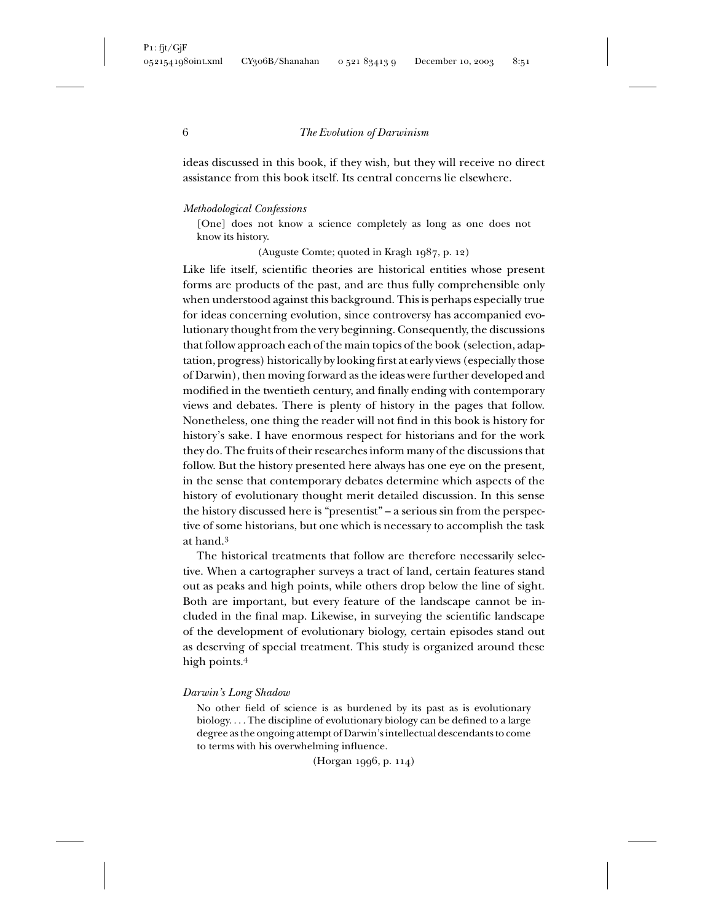ideas discussed in this book, if they wish, but they will receive no direct assistance from this book itself. Its central concerns lie elsewhere.

*Methodological Confessions*

[One] does not know a science completely as long as one does not know its history.

(Auguste Comte; quoted in Kragh 1987, p. 12)

Like life itself, scientific theories are historical entities whose present forms are products of the past, and are thus fully comprehensible only when understood against this background. This is perhaps especially true for ideas concerning evolution, since controversy has accompanied evolutionary thought from the very beginning. Consequently, the discussions that follow approach each of the main topics of the book (selection, adaptation, progress) historically by looking first at early views (especially those of Darwin), then moving forward as the ideas were further developed and modified in the twentieth century, and finally ending with contemporary views and debates. There is plenty of history in the pages that follow. Nonetheless, one thing the reader will not find in this book is history for history's sake. I have enormous respect for historians and for the work they do. The fruits of their researches inform many of the discussions that follow. But the history presented here always has one eye on the present, in the sense that contemporary debates determine which aspects of the history of evolutionary thought merit detailed discussion. In this sense the history discussed here is "presentist" – a serious sin from the perspective of some historians, but one which is necessary to accomplish the task at hand.<sup>3</sup>

The historical treatments that follow are therefore necessarily selective. When a cartographer surveys a tract of land, certain features stand out as peaks and high points, while others drop below the line of sight. Both are important, but every feature of the landscape cannot be included in the final map. Likewise, in surveying the scientific landscape of the development of evolutionary biology, certain episodes stand out as deserving of special treatment. This study is organized around these high points.<sup>4</sup>

*Darwin's Long Shadow*

No other field of science is as burdened by its past as is evolutionary biology. ... The discipline of evolutionary biology can be defined to a large degree as the ongoing attempt of Darwin's intellectual descendants to come to terms with his overwhelming influence.

(Horgan 1996, p. 114)